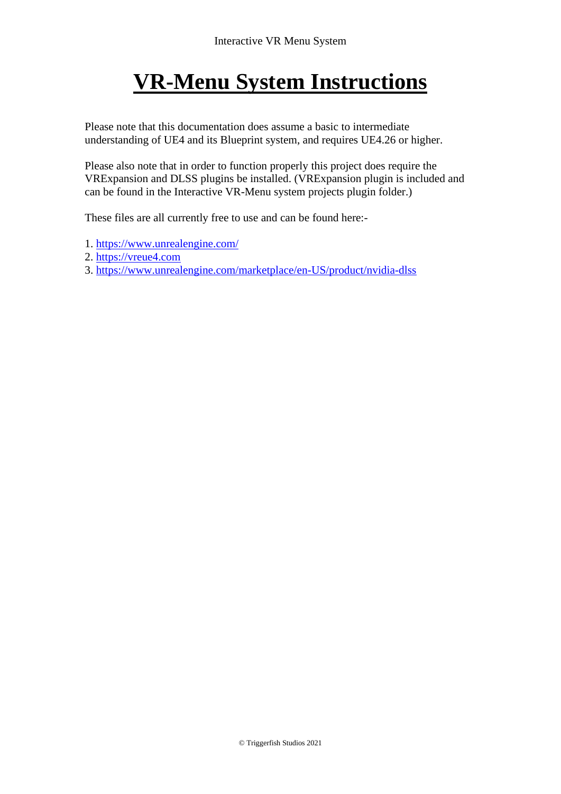# **VR-Menu System Instructions**

Please note that this documentation does assume a basic to intermediate understanding of UE4 and its Blueprint system, and requires UE4.26 or higher.

Please also note that in order to function properly this project does require the VRExpansion and DLSS plugins be installed. (VRExpansion plugin is included and can be found in the Interactive VR-Menu system projects plugin folder.)

These files are all currently free to use and can be found here:-

- 1.<https://www.unrealengine.com/>
- 2. [https://vreue4.com](https://vreue4.com/)
- 3.<https://www.unrealengine.com/marketplace/en-US/product/nvidia-dlss>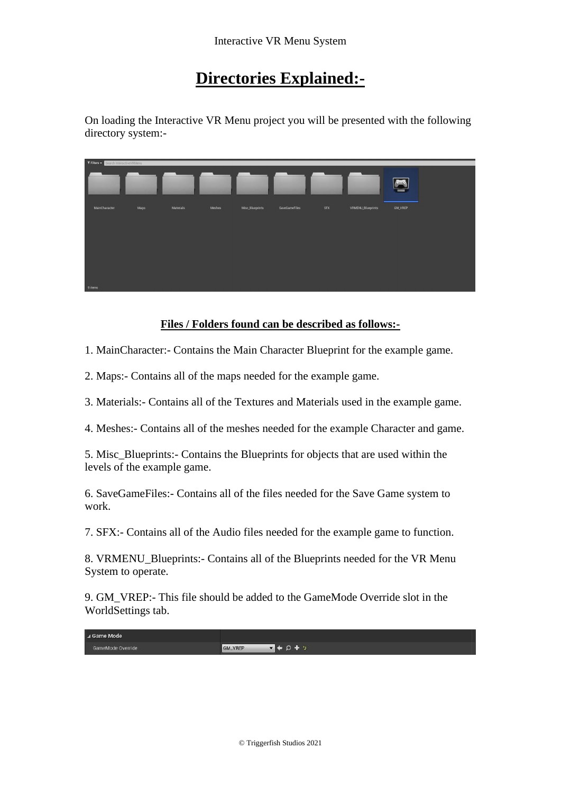### **Directories Explained:-**

On loading the Interactive VR Menu project you will be presented with the following directory system:-



#### **Files / Folders found can be described as follows:-**

1. MainCharacter:- Contains the Main Character Blueprint for the example game.

2. Maps:- Contains all of the maps needed for the example game.

3. Materials:- Contains all of the Textures and Materials used in the example game.

4. Meshes:- Contains all of the meshes needed for the example Character and game.

5. Misc\_Blueprints:- Contains the Blueprints for objects that are used within the levels of the example game.

6. SaveGameFiles:- Contains all of the files needed for the Save Game system to work.

7. SFX:- Contains all of the Audio files needed for the example game to function.

8. VRMENU\_Blueprints:- Contains all of the Blueprints needed for the VR Menu System to operate.

9. GM\_VREP:- This file should be added to the GameMode Override slot in the WorldSettings tab.

| ⊿ Game Mode<br>in a massached and completely a |                        |
|------------------------------------------------|------------------------|
| GameMode Override                              | $- + 0 + -$<br>GM_VREP |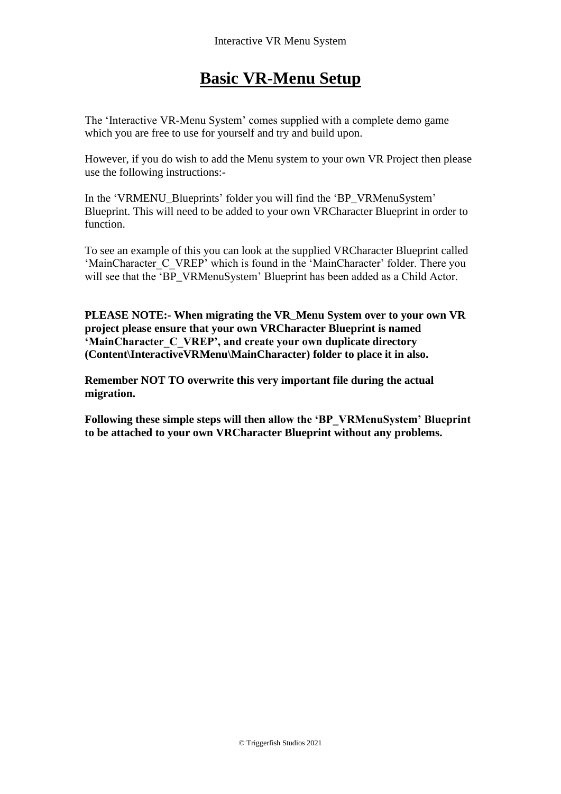### **Basic VR-Menu Setup**

The 'Interactive VR-Menu System' comes supplied with a complete demo game which you are free to use for yourself and try and build upon.

However, if you do wish to add the Menu system to your own VR Project then please use the following instructions:-

In the 'VRMENU\_Blueprints' folder you will find the 'BP\_VRMenuSystem' Blueprint. This will need to be added to your own VRCharacter Blueprint in order to function.

To see an example of this you can look at the supplied VRCharacter Blueprint called 'MainCharacter C\_VREP' which is found in the 'MainCharacter' folder. There you will see that the 'BP\_VRMenuSystem' Blueprint has been added as a Child Actor.

**PLEASE NOTE:- When migrating the VR\_Menu System over to your own VR project please ensure that your own VRCharacter Blueprint is named 'MainCharacter\_C\_VREP', and create your own duplicate directory (Content\InteractiveVRMenu\MainCharacter) folder to place it in also.** 

**Remember NOT TO overwrite this very important file during the actual migration.** 

**Following these simple steps will then allow the 'BP\_VRMenuSystem' Blueprint to be attached to your own VRCharacter Blueprint without any problems.**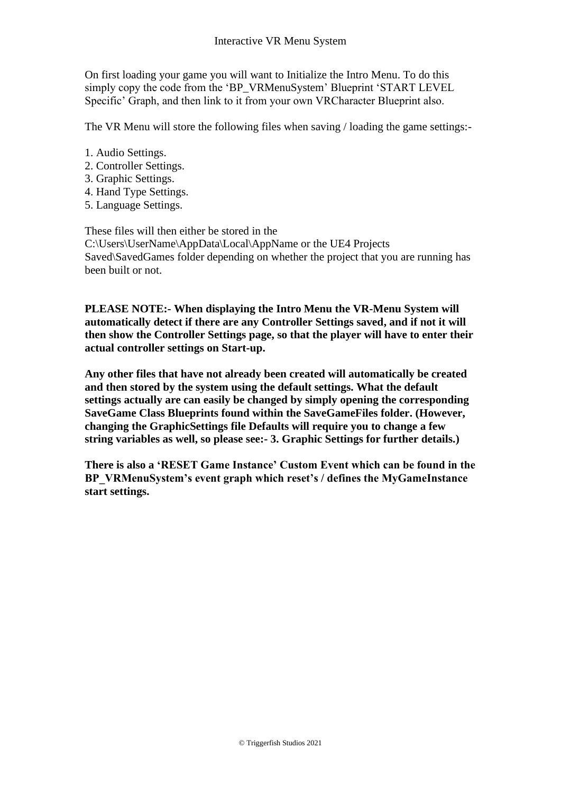On first loading your game you will want to Initialize the Intro Menu. To do this simply copy the code from the 'BP\_VRMenuSystem' Blueprint 'START LEVEL Specific' Graph, and then link to it from your own VRCharacter Blueprint also.

The VR Menu will store the following files when saving / loading the game settings:-

- 1. Audio Settings.
- 2. Controller Settings.
- 3. Graphic Settings.
- 4. Hand Type Settings.
- 5. Language Settings.

These files will then either be stored in the C:\Users\UserName\AppData\Local\AppName or the UE4 Projects Saved\SavedGames folder depending on whether the project that you are running has been built or not.

**PLEASE NOTE:- When displaying the Intro Menu the VR-Menu System will automatically detect if there are any Controller Settings saved, and if not it will then show the Controller Settings page, so that the player will have to enter their actual controller settings on Start-up.** 

**Any other files that have not already been created will automatically be created and then stored by the system using the default settings. What the default settings actually are can easily be changed by simply opening the corresponding SaveGame Class Blueprints found within the SaveGameFiles folder. (However, changing the GraphicSettings file Defaults will require you to change a few string variables as well, so please see:- 3. Graphic Settings for further details.)**

**There is also a 'RESET Game Instance' Custom Event which can be found in the BP\_VRMenuSystem's event graph which reset's / defines the MyGameInstance start settings.**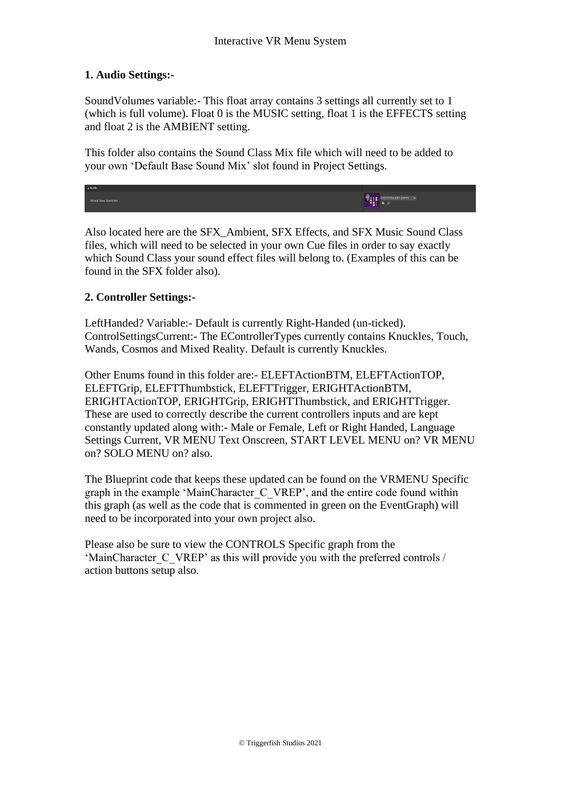#### **1. Audio Settings:-**

SoundVolumes variable:- This float array contains 3 settings all currently set to 1 (which is full volume). Float 0 is the MUSIC setting, float 1 is the EFFECTS setting and float 2 is the AMBIENT setting.

This folder also contains the Sound Class Mix file which will need to be added to your own 'Default Base Sound Mix' slot found in Project Settings.



Also located here are the SFX\_Ambient, SFX Effects, and SFX Music Sound Class files, which will need to be selected in your own Cue files in order to say exactly which Sound Class your sound effect files will belong to. (Examples of this can be found in the SFX folder also).

#### **2. Controller Settings:-**

LeftHanded? Variable:- Default is currently Right-Handed (un-ticked). ControlSettingsCurrent:- The EControllerTypes currently contains Knuckles, Touch, Wands, Cosmos and Mixed Reality. Default is currently Knuckles.

Other Enums found in this folder are:- ELEFTActionBTM, ELEFTActionTOP, ELEFTGrip, ELEFTThumbstick, ELEFTTrigger, ERIGHTActionBTM, ERIGHTActionTOP, ERIGHTGrip, ERIGHTThumbstick, and ERIGHTTrigger. These are used to correctly describe the current controllers inputs and are kept constantly updated along with:- Male or Female, Left or Right Handed, Language Settings Current, VR MENU Text Onscreen, START LEVEL MENU on? VR MENU on? SOLO MENU on? also.

The Blueprint code that keeps these updated can be found on the VRMENU Specific graph in the example 'MainCharacter\_C\_VREP', and the entire code found within this graph (as well as the code that is commented in green on the EventGraph) will need to be incorporated into your own project also.

Please also be sure to view the CONTROLS Specific graph from the 'MainCharacter C\_VREP' as this will provide you with the preferred controls / action buttons setup also.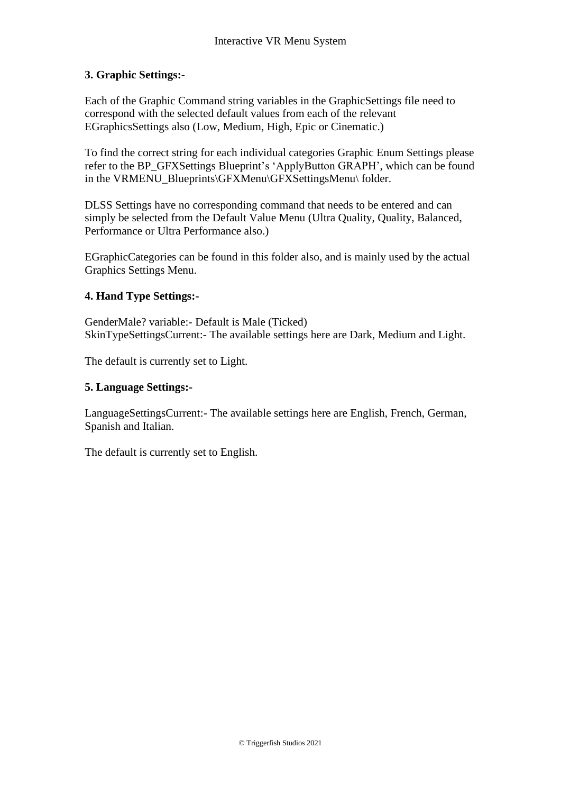#### **3. Graphic Settings:-**

Each of the Graphic Command string variables in the GraphicSettings file need to correspond with the selected default values from each of the relevant EGraphicsSettings also (Low, Medium, High, Epic or Cinematic.)

To find the correct string for each individual categories Graphic Enum Settings please refer to the BP\_GFXSettings Blueprint's 'ApplyButton GRAPH', which can be found in the VRMENU\_Blueprints\GFXMenu\GFXSettingsMenu\ folder.

DLSS Settings have no corresponding command that needs to be entered and can simply be selected from the Default Value Menu (Ultra Quality, Quality, Balanced, Performance or Ultra Performance also.)

EGraphicCategories can be found in this folder also, and is mainly used by the actual Graphics Settings Menu.

#### **4. Hand Type Settings:-**

GenderMale? variable:- Default is Male (Ticked) SkinTypeSettingsCurrent:- The available settings here are Dark, Medium and Light.

The default is currently set to Light.

#### **5. Language Settings:-**

LanguageSettingsCurrent:- The available settings here are English, French, German, Spanish and Italian.

The default is currently set to English.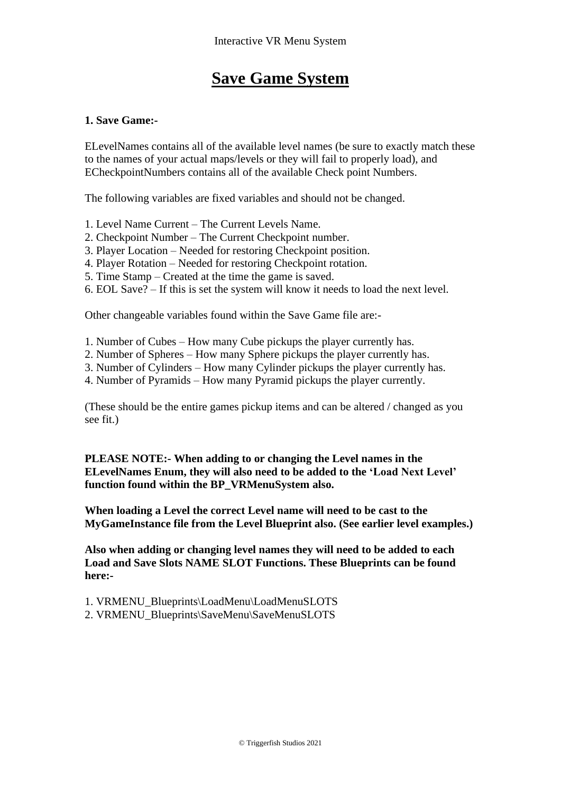### **Save Game System**

#### **1. Save Game:-**

ELevelNames contains all of the available level names (be sure to exactly match these to the names of your actual maps/levels or they will fail to properly load), and ECheckpointNumbers contains all of the available Check point Numbers.

The following variables are fixed variables and should not be changed.

- 1. Level Name Current The Current Levels Name.
- 2. Checkpoint Number The Current Checkpoint number.
- 3. Player Location Needed for restoring Checkpoint position.
- 4. Player Rotation Needed for restoring Checkpoint rotation.
- 5. Time Stamp Created at the time the game is saved.
- 6. EOL Save? If this is set the system will know it needs to load the next level.

Other changeable variables found within the Save Game file are:-

- 1. Number of Cubes How many Cube pickups the player currently has.
- 2. Number of Spheres How many Sphere pickups the player currently has.
- 3. Number of Cylinders How many Cylinder pickups the player currently has.
- 4. Number of Pyramids How many Pyramid pickups the player currently.

(These should be the entire games pickup items and can be altered / changed as you see fit.)

**PLEASE NOTE:- When adding to or changing the Level names in the ELevelNames Enum, they will also need to be added to the 'Load Next Level' function found within the BP\_VRMenuSystem also.**

**When loading a Level the correct Level name will need to be cast to the MyGameInstance file from the Level Blueprint also. (See earlier level examples.)**

**Also when adding or changing level names they will need to be added to each Load and Save Slots NAME SLOT Functions. These Blueprints can be found here:-**

1. VRMENU\_Blueprints\LoadMenu\LoadMenuSLOTS

2. VRMENU\_Blueprints\SaveMenu\SaveMenuSLOTS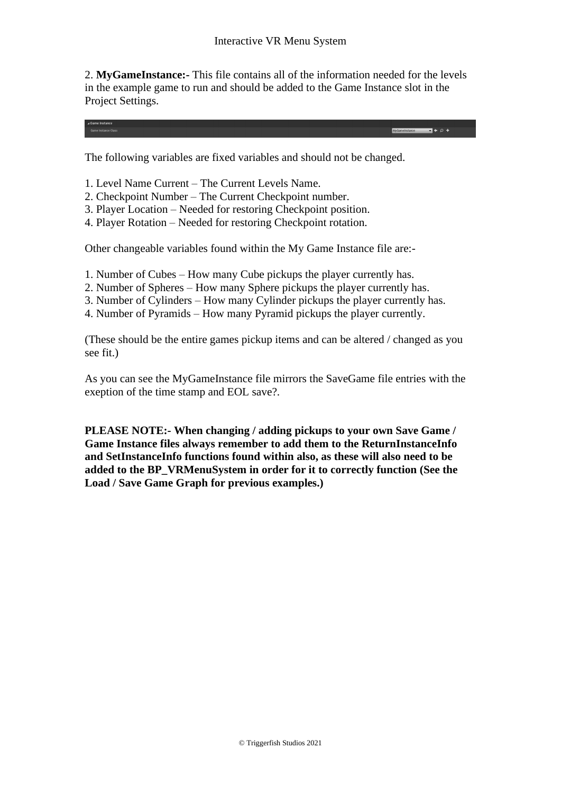2. **MyGameInstance:-** This file contains all of the information needed for the levels in the example game to run and should be added to the Game Instance slot in the Project Settings.

 $+$   $\circ$  +

The following variables are fixed variables and should not be changed.

- 1. Level Name Current The Current Levels Name.
- 2. Checkpoint Number The Current Checkpoint number.
- 3. Player Location Needed for restoring Checkpoint position.
- 4. Player Rotation Needed for restoring Checkpoint rotation.

Other changeable variables found within the My Game Instance file are:-

- 1. Number of Cubes How many Cube pickups the player currently has.
- 2. Number of Spheres How many Sphere pickups the player currently has.
- 3. Number of Cylinders How many Cylinder pickups the player currently has.
- 4. Number of Pyramids How many Pyramid pickups the player currently.

(These should be the entire games pickup items and can be altered / changed as you see fit.)

As you can see the MyGameInstance file mirrors the SaveGame file entries with the exeption of the time stamp and EOL save?.

**PLEASE NOTE:- When changing / adding pickups to your own Save Game / Game Instance files always remember to add them to the ReturnInstanceInfo and SetInstanceInfo functions found within also, as these will also need to be added to the BP\_VRMenuSystem in order for it to correctly function (See the Load / Save Game Graph for previous examples.)**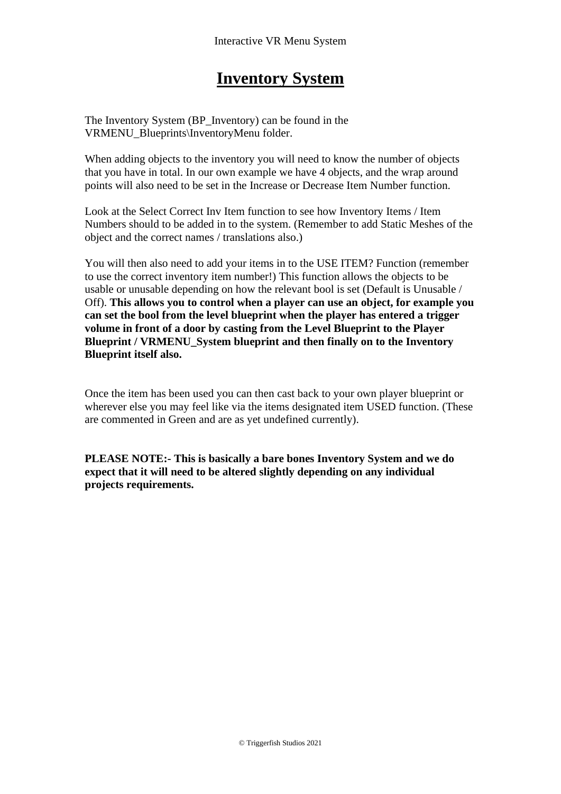### **Inventory System**

The Inventory System (BP\_Inventory) can be found in the VRMENU\_Blueprints\InventoryMenu folder.

When adding objects to the inventory you will need to know the number of objects that you have in total. In our own example we have 4 objects, and the wrap around points will also need to be set in the Increase or Decrease Item Number function.

Look at the Select Correct Inv Item function to see how Inventory Items / Item Numbers should to be added in to the system. (Remember to add Static Meshes of the object and the correct names / translations also.)

You will then also need to add your items in to the USE ITEM? Function (remember to use the correct inventory item number!) This function allows the objects to be usable or unusable depending on how the relevant bool is set (Default is Unusable / Off). **This allows you to control when a player can use an object, for example you can set the bool from the level blueprint when the player has entered a trigger volume in front of a door by casting from the Level Blueprint to the Player Blueprint / VRMENU\_System blueprint and then finally on to the Inventory Blueprint itself also.** 

Once the item has been used you can then cast back to your own player blueprint or wherever else you may feel like via the items designated item USED function. (These are commented in Green and are as yet undefined currently).

**PLEASE NOTE:- This is basically a bare bones Inventory System and we do expect that it will need to be altered slightly depending on any individual projects requirements.**